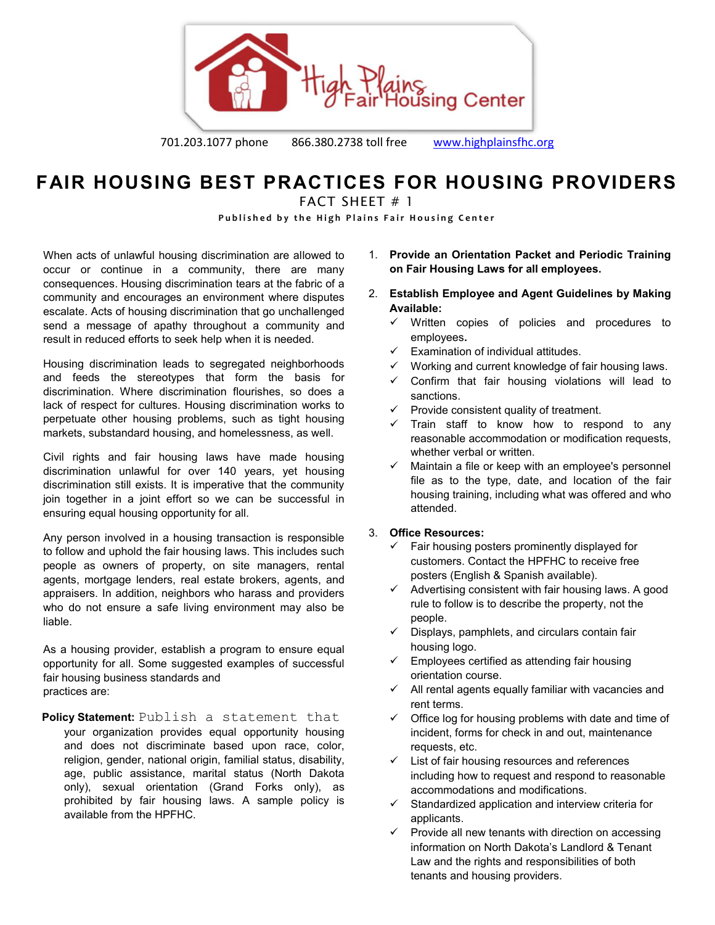

701.203.1077 phone 866.380.2738 toll free [www.highplainsfhc.org](http://www.highplainsfhc.org/)

# **FAIR HOUSING BEST PRACTICES FOR HOUSING PROVIDERS**

FACT SHEFT  $# 1$ 

Published by the High Plains Fair Housing Center

When acts of unlawful housing discrimination are allowed to occur or continue in a community, there are many consequences. Housing discrimination tears at the fabric of a community and encourages an environment where disputes escalate. Acts of housing discrimination that go unchallenged send a message of apathy throughout a community and result in reduced efforts to seek help when it is needed.

Housing discrimination leads to segregated neighborhoods and feeds the stereotypes that form the basis for discrimination. Where discrimination flourishes, so does a lack of respect for cultures. Housing discrimination works to perpetuate other housing problems, such as tight housing markets, substandard housing, and homelessness, as well.

Civil rights and fair housing laws have made housing discrimination unlawful for over 140 years, yet housing discrimination still exists. It is imperative that the community join together in a joint effort so we can be successful in ensuring equal housing opportunity for all.

Any person involved in a housing transaction is responsible to follow and uphold the fair housing laws. This includes such people as owners of property, on site managers, rental agents, mortgage lenders, real estate brokers, agents, and appraisers. In addition, neighbors who harass and providers who do not ensure a safe living environment may also be liable.

As a housing provider, establish a program to ensure equal opportunity for all. Some suggested examples of successful fair housing business standards and practices are:

**Policy Statement:** Publish a statement that

your organization provides equal opportunity housing and does not discriminate based upon race, color, religion, gender, national origin, familial status, disability, age, public assistance, marital status (North Dakota only), sexual orientation (Grand Forks only), as prohibited by fair housing laws. A sample policy is available from the HPFHC.

- 1. **Provide an Orientation Packet and Periodic Training on Fair Housing Laws for all employees.**
- 2. **Establish Employee and Agent Guidelines by Making Available:** 
	- $\checkmark$  Written copies of policies and procedures to employees**.**
	- $\checkmark$  Examination of individual attitudes.
	- $\checkmark$  Working and current knowledge of fair housing laws.
	- $\checkmark$  Confirm that fair housing violations will lead to sanctions.
	- $\checkmark$  Provide consistent quality of treatment.
	- $\checkmark$  Train staff to know how to respond to any reasonable accommodation or modification requests, whether verbal or written.
	- $\checkmark$  Maintain a file or keep with an employee's personnel file as to the type, date, and location of the fair housing training, including what was offered and who attended.

## 3. **Office Resources:**

- $\checkmark$  Fair housing posters prominently displayed for customers. Contact the HPFHC to receive free posters (English & Spanish available).
- $\checkmark$  Advertising consistent with fair housing laws. A good rule to follow is to describe the property, not the people.
- $\checkmark$  Displays, pamphlets, and circulars contain fair housing logo.
- $\checkmark$  Employees certified as attending fair housing orientation course.
- $\checkmark$  All rental agents equally familiar with vacancies and rent terms.
- $\checkmark$  Office log for housing problems with date and time of incident, forms for check in and out, maintenance requests, etc.
- $\checkmark$  List of fair housing resources and references including how to request and respond to reasonable accommodations and modifications.
- $\checkmark$  Standardized application and interview criteria for applicants.
- $\checkmark$  Provide all new tenants with direction on accessing information on North Dakota's Landlord & Tenant Law and the rights and responsibilities of both tenants and housing providers.